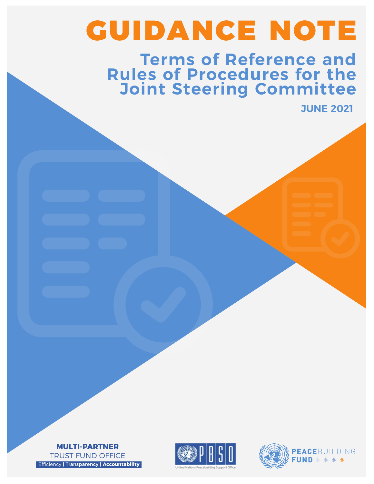# GUIDANCE NOTE

## **Terms of Reference and Rules of Procedures for the Joint Steering Committee**

**JUNE 2021**





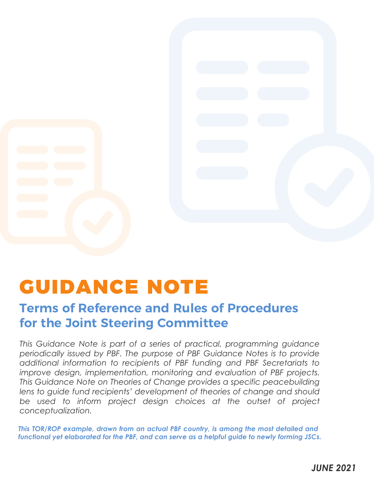

## GUIDANCE NOTE

## **Terms of Reference and Rules of Procedures for the Joint Steering Committee**

*This Guidance Note is part of a series of practical, programming guidance periodically issued by PBF. The purpose of PBF Guidance Notes is to provide additional information to recipients of PBF funding and PBF Secretariats to improve design, implementation, monitoring and evaluation of PBF projects. This Guidance Note on Theories of Change provides a specific peacebuilding lens to guide fund recipients' development of theories of change and should be used to inform project design choices at the outset of project conceptualization.*

*This TOR/ROP example, drawn from an actual PBF country, is among the most detailed and functional yet elaborated for the PBF, and can serve as a helpful guide to newly forming JSCs.*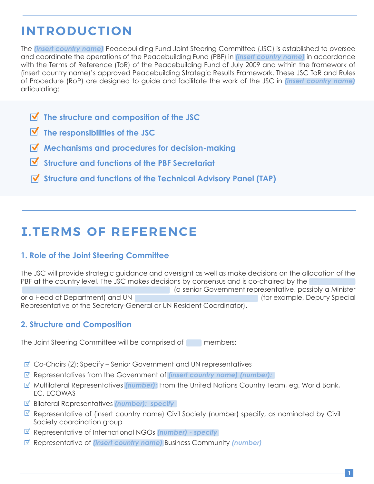## **INTRODUCTION**

The *(insert country name)* Peacebuilding Fund Joint Steering Committee (JSC) is established to oversee and coordinate the operations of the Peacebuilding Fund (PBF) in *(insert country name)* in accordance with the Terms of Reference (ToR) of the Peacebuilding Fund of July 2009 and within the framework of (insert country name)'s approved Peacebuilding Strategic Results Framework. These JSC ToR and Rules of Procedure (RoP) are designed to guide and facilitate the work of the JSC in *(insert country name)*  articulating:

- **The structure and composition of the JSC**
- **The responsibilities of the JSC**
- **Mechanisms and procedures for decision-making**
- **Structure and functions of the PBF Secretariat**
- **Structure and functions of the Technical Advisory Panel (TAP)**

## **I.TERMS OF REFERENCE**

#### **1. Role of the Joint Steering Committee**

The JSC will provide strategic guidance and oversight as well as make decisions on the allocation of the PBF at the country level. The JSC makes decisions by consensus and is co-chaired by the

 (a senior Government representative, possibly a Minister or a Head of Department) and UN (for example, Deputy Special Representative of the Secretary-General or UN Resident Coordinator).

#### **2. Structure and Composition**

The Joint Steering Committee will be comprised of members:

- $\blacksquare$  Co-Chairs (2): Specify Senior Government and UN representatives
- Representatives from the Government of *(insert country name) (number):*
- Multilateral Representatives *(number):* From the United Nations Country Team, eg. World Bank, EC, ECOWAS
- Bilateral Representatives *(number): specify*
- $\blacksquare$  Representative of (insert country name) Civil Society (number) specify, as nominated by Civil Society coordination group
- Representative of International NGOs *(number) specify*
- Representative of *(insert country name)* Business Community *(number)*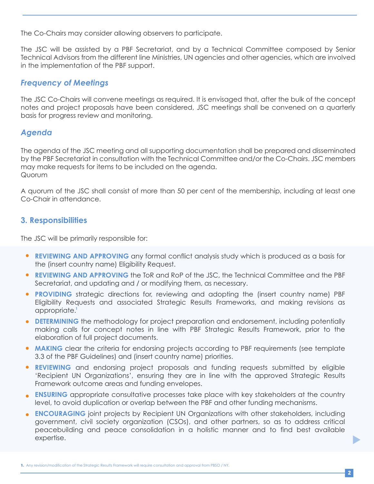The Co-Chairs may consider allowing observers to participate.

The JSC will be assisted by a PBF Secretariat, and by a Technical Committee composed by Senior Technical Advisors from the different line Ministries, UN agencies and other agencies, which are involved in the implementation of the PBF support.

#### *Frequency of Meetings*

The JSC Co-Chairs will convene meetings as required. It is envisaged that, after the bulk of the concept notes and project proposals have been considered, JSC meetings shall be convened on a quarterly basis for progress review and monitoring.

#### *Agenda*

The agenda of the JSC meeting and all supporting documentation shall be prepared and disseminated by the PBF Secretariat in consultation with the Technical Committee and/or the Co-Chairs. JSC members may make requests for items to be included on the agenda. Quorum

A quorum of the JSC shall consist of more than 50 per cent of the membership, including at least one Co-Chair in attendance.

#### **3. Responsibilities**

The JSC will be primarily responsible for:

- **REVIEWING AND APPROVING** any formal conflict analysis study which is produced as a basis for the (insert country name) Eligibility Request.
- **REVIEWING AND APPROVING** the ToR and RoP of the JSC, the Technical Committee and the PBF Secretariat, and updating and / or modifying them, as necessary.
- **PROVIDING** strategic directions for, reviewing and adopting the (insert country name) PBF Eligibility Requests and associated Strategic Results Frameworks, and making revisions as appropriate. **1**
- **DETERMINING** the methodology for project preparation and endorsement, including potentially making calls for concept notes in line with PBF Strategic Results Framework, prior to the elaboration of full project documents.
- **MAKING** clear the criteria for endorsing projects according to PBF requirements (see template 3.3 of the PBF Guidelines) and (insert country name) priorities.
- **REVIEWING** and endorsing project proposals and funding requests submitted by eligible 'Recipient UN Organizations', ensuring they are in line with the approved Strategic Results Framework outcome areas and funding envelopes.
- **ENSURING** appropriate consultative processes take place with key stakeholders at the country level, to avoid duplication or overlap between the PBF and other funding mechanisms.
- **ENCOURAGING** joint projects by Recipient UN Organizations with other stakeholders, including government, civil society organization (CSOs), and other partners, so as to address critical peacebuilding and peace consolidation in a holistic manner and to find best available expertise.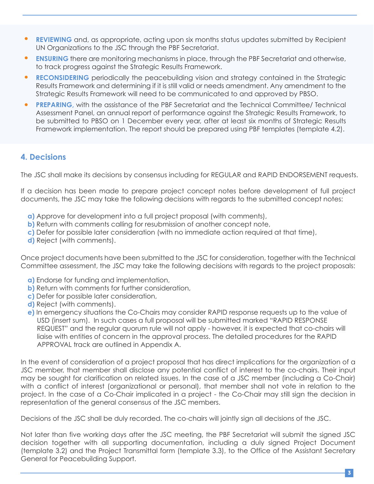- **REVIEWING** and, as appropriate, acting upon six months status updates submitted by Recipient UN Organizations to the JSC through the PBF Secretariat.
- **ENSURING** there are monitoring mechanisms in place, through the PBF Secretariat and otherwise, to track progress against the Strategic Results Framework.
- **RECONSIDERING** periodically the peacebuilding vision and strategy contained in the Strategic Results Framework and determining if it is still valid or needs amendment. Any amendment to the Strategic Results Framework will need to be communicated to and approved by PBSO.
- **PREPARING,** with the assistance of the PBF Secretariat and the Technical Committee/ Technical Assessment Panel, an annual report of performance against the Strategic Results Framework, to be submitted to PBSO on 1 December every year, after at least six months of Strategic Results Framework implementation. The report should be prepared using PBF templates (template 4.2).

#### **4. Decisions**

The JSC shall make its decisions by consensus including for REGULAR and RAPID ENDORSEMENT requests.

If a decision has been made to prepare project concept notes before development of full project documents, the JSC may take the following decisions with regards to the submitted concept notes:

- **a)** Approve for development into a full project proposal (with comments),
- **b)** Return with comments calling for resubmission of another concept note,
- **c)** Defer for possible later consideration (with no immediate action required at that time),
- **d)** Reject (with comments).

Once project documents have been submitted to the JSC for consideration, together with the Technical Committee assessment, the JSC may take the following decisions with regards to the project proposals:

- **a)** Endorse for funding and implementation,
- **b)** Return with comments for further consideration,
- **c)** Defer for possible later consideration,
- **d)** Reject (with comments).
- **e)** In emergency situations the Co-Chairs may consider RAPID response requests up to the value of USD (insert sum). In such cases a full proposal will be submitted marked "RAPID RESPONSE REQUEST" and the regular quorum rule will not apply - however, it is expected that co-chairs will liaise with entities of concern in the approval process. The detailed procedures for the RAPID APPROVAL track are outlined in Appendix A.

In the event of consideration of a project proposal that has direct implications for the organization of a JSC member, that member shall disclose any potential conflict of interest to the co-chairs. Their input may be sought for clarification on related issues. In the case of a JSC member (including a Co-Chair) with a conflict of interest (organizational or personal), that member shall not vote in relation to the project. In the case of a Co-Chair implicated in a project - the Co-Chair may still sign the decision in representation of the general consensus of the JSC members.

Decisions of the JSC shall be duly recorded. The co-chairs will jointly sign all decisions of the JSC.

Not later than five working days after the JSC meeting, the PBF Secretariat will submit the signed JSC decision together with all supporting documentation, including a duly signed Project Document (template 3.2) and the Project Transmittal form (template 3.3), to the Office of the Assistant Secretary General for Peacebuilding Support.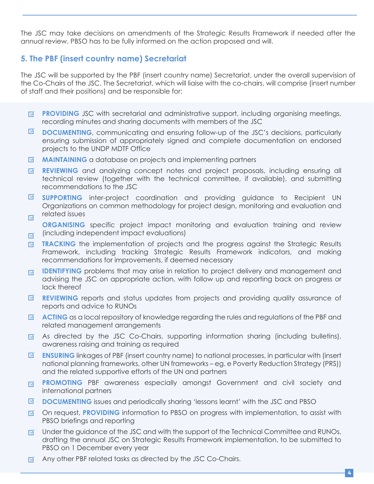The JSC may take decisions on amendments of the Strategic Results Framework if needed after the annual review. PBSO has to be fully informed on the action proposed and will.

#### **5. The PBF (insert country name) Secretariat**

The JSC will be supported by the PBF (insert country name) Secretariat, under the overall supervision of the Co-Chairs of the JSC. The Secretariat, which will liaise with the co-chairs, will comprise (insert number of staff and their positions) and be responsible for:

- **PROVIDING** JSC with secretarial and administrative support, including organising meetings, 区 recording minutes and sharing documents with members of the JSC
- **DOCUMENTING**, communicating and ensuring follow-up of the JSC's decisions, particularly ⊡ ensuring submission of appropriately signed and complete documentation on endorsed projects to the UNDP MDTF Office
- ष **MAINTAINING** a database on projects and implementing partners
- **REVIEWING** and analyzing concept notes and project proposals, including ensuring all ☑ technical review (together with the technical committee, if available), and submitting recommendations to the JSC
- $\triangledown$ **SUPPORTING** inter-project coordination and providing guidance to Recipient UN Organizations on common methodology for project design, monitoring and evaluation and related issues  $\triangledown$
- **ORGANISING** specific project impact monitoring and evaluation training and review (including independent impact evaluations)  $\triangledown$
- **TRACKING** the implementation of projects and the progress against the Strategic Results ☑ Framework, including tracking Strategic Results Framework indicators, and making recommendations for improvements, if deemed necessary
- **IDENTIFYING** problems that may arise in relation to project delivery and management and ाज advising the JSC on appropriate action, with follow up and reporting back on progress or lack thereof
- $\overline{\mathbf{M}}$ **REVIEWING** reports and status updates from projects and providing quality assurance of reports and advice to RUNOs
- $\blacksquare$ **ACTING** as a local repository of knowledge regarding the rules and regulations of the PBF and related management arrangements
- As directed by the JSC Co-Chairs, supporting information sharing (including bulletins), 区 awareness raising and training as required
- **ENSURING** linkages of PBF (insert country name) to national processes, in particular with (insert  $\triangledown$ national planning frameworks, other UN frameworks – eg. e Poverty Reduction Strategy (PRS)) and the related supportive efforts of the UN and partners
- **PROMOTING** PBF awareness especially amongst Government and civil society and 区 international partners
- $\blacksquare$ **DOCUMENTING** issues and periodically sharing 'lessons learnt' with the JSC and PBSO
- On request, **PROVIDING** information to PBSO on progress with implementation, to assist with  $\overline{\mathsf{M}}$ PBSO briefings and reporting
- Under the guidance of the JSC and with the support of the Technical Committee and RUNOs, 囨 drafting the annual JSC on Strategic Results Framework implementation, to be submitted to PBSO on 1 December every year
- Any other PBF related tasks as directed by the JSC Co-Chairs. 区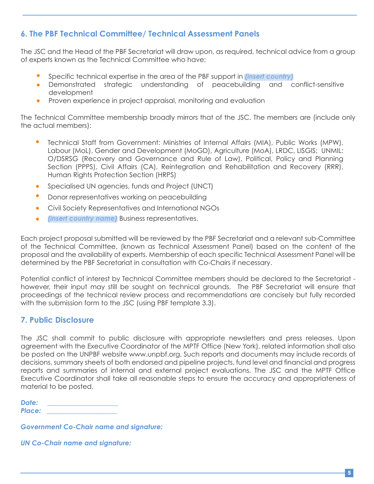#### **6. The PBF Technical Committee/ Technical Assessment Panels**

The JSC and the Head of the PBF Secretariat will draw upon, as required, technical advice from a group of experts known as the Technical Committee who have:

- Specific technical expertise in the area of the PBF support in *(insert country)*
- Demonstrated strategic understanding of peacebuilding and conflict-sensitive  $\bullet$ development
- Proven experience in project appraisal, monitoring and evaluation  $\bullet$

The Technical Committee membership broadly mirrors that of the JSC. The members are (include only the actual members):

- Technical Staff from Government: Ministries of Internal Affairs (MIA), Public Works (MPW), Labour (MoL), Gender and Development (MoGD), Agriculture (MoA), LRDC, LISGIS; UNMIL: O/DSRSG (Recovery and Governance and Rule of Law), Political, Policy and Planning Section (PPPS), Civil Affairs (CA), Reintegration and Rehabilitation and Recovery (RRR), Human Rights Protection Section (HRPS)
- Specialised UN agencies, funds and Project (UNCT)  $\bullet$
- $\bullet$ Donor representatives working on peacebuilding
- Civil Society Representatives and International NGOs  $\bullet$
- *(insert country name)* Business representatives.  $\bullet$

Each project proposal submitted will be reviewed by the PBF Secretariat and a relevant sub-Committee of the Technical Committee, (known as Technical Assessment Panel) based on the content of the proposal and the availability of experts. Membership of each specific Technical Assessment Panel will be determined by the PBF Secretariat in consultation with Co-Chairs if necessary.

Potential conflict of interest by Technical Committee members should be declared to the Secretariat however, their input may still be sought on technical grounds. The PBF Secretariat will ensure that proceedings of the technical review process and recommendations are concisely but fully recorded with the submission form to the JSC (using PBF template 3.3).

#### **7. Public Disclosure**

The JSC shall commit to public disclosure with appropriate newsletters and press releases. Upon agreement with the Executive Coordinator of the MPTF Office (New York), related information shall also be posted on the UNPBF website www.unpbf.org. Such reports and documents may include records of decisions, summary sheets of both endorsed and pipeline projects, fund level and financial and progress reports and summaries of internal and external project evaluations. The JSC and the MPTF Office Executive Coordinator shall take all reasonable steps to ensure the accuracy and appropriateness of material to be posted.

*Date: \_\_\_\_\_\_\_\_\_\_\_\_\_\_\_\_\_\_\_\_\_ Place: \_\_\_\_\_\_\_\_\_\_\_\_\_\_\_\_\_\_\_\_\_* 

*Government Co-Chair name and signature:*

*UN Co-Chair name and signature:*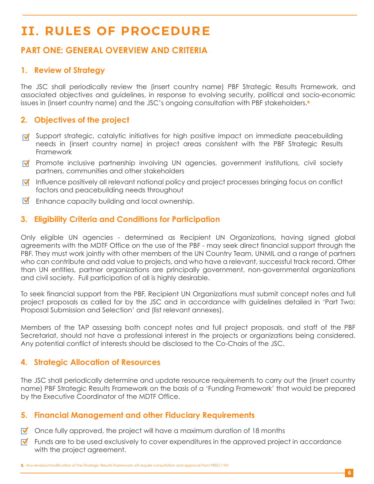## **II. RULES OF PROCEDURE**

#### **PART ONE: GENERAL OVERVIEW AND CRITERIA**

#### **1. Review of Strategy**

The JSC shall periodically review the (insert country name) PBF Strategic Results Framework, and associated objectives and guidelines, in response to evolving security, political and socio-economic issues in (insert country name) and the JSC's ongoing consultation with PBF stakeholders.<sup>2</sup>

#### **2. Objectives of the project**

- $\vec{v}$  Support strategic, catalytic initiatives for high positive impact on immediate peacebuilding needs in (insert country name) in project areas consistent with the PBF Strategic Results Framework
- **Promote inclusive partnership involving UN agencies, government institutions, civil society** partners, communities and other stakeholders
- $\forall$  Influence positively all relevant national policy and project processes bringing focus on conflict factors and peacebuilding needs throughout
- **M** Enhance capacity building and local ownership.

#### **3. Eligibility Criteria and Conditions for Participation**

Only eligible UN agencies - determined as Recipient UN Organizations, having signed global agreements with the MDTF Office on the use of the PBF - may seek direct financial support through the PBF. They must work jointly with other members of the UN Country Team, UNMIL and a range of partners who can contribute and add value to projects, and who have a relevant, successful track record. Other than UN entities, partner organizations are principally government, non-governmental organizations and civil society. Full participation of all is highly desirable.

To seek financial support from the PBF, Recipient UN Organizations must submit concept notes and full project proposals as called for by the JSC and in accordance with guidelines detailed in 'Part Two: Proposal Submission and Selection' and (list relevant annexes).

Members of the TAP assessing both concept notes and full project proposals, and staff of the PBF Secretariat, should not have a professional interest in the projects or organizations being considered. Any potential conflict of interests should be disclosed to the Co-Chairs of the JSC.

#### **4. Strategic Allocation of Resources**

The JSC shall periodically determine and update resource requirements to carry out the (insert country name) PBF Strategic Results Framework on the basis of a 'Funding Framework' that would be prepared by the Executive Coordinator of the MDTF Office.

#### **5. Financial Management and other Fiduciary Requirements**

- $\triangledown$  Once fully approved, the project will have a maximum duration of 18 months
- $\triangledown$  Funds are to be used exclusively to cover expenditures in the approved project in accordance with the project agreement.

2. Any revision/modification of the Strategic Results Framework will require consultation and approval from PBSO / NY.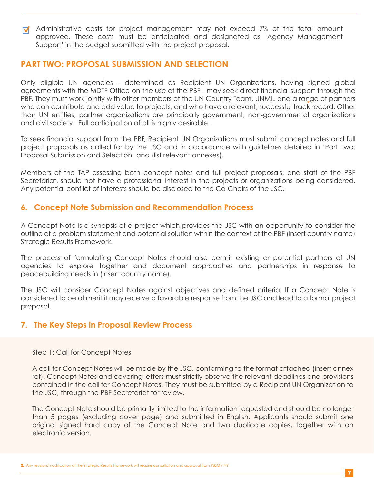**M** Administrative costs for project management may not exceed 7% of the total amount approved. These costs must be anticipated and designated as 'Agency Management Support' in the budget submitted with the project proposal.

#### **PART TWO: PROPOSAL SUBMISSION AND SELECTION**

PBF. They must work jointly with other members of the UN Country Team, UNMIL and a range of partners Only eligible UN agencies - determined as Recipient UN Organizations, having signed global agreements with the MDTF Office on the use of the PBF - may seek direct financial support through the who can contribute and add value to projects, and who have a relevant, successful track record. Other than UN entities, partner organizations are principally government, non-governmental organizations and civil society. Full participation of all is highly desirable.

To seek financial support from the PBF, Recipient UN Organizations must submit concept notes and full project proposals as called for by the JSC and in accordance with guidelines detailed in 'Part Two: Proposal Submission and Selection' and (list relevant annexes).

Members of the TAP assessing both concept notes and full project proposals, and staff of the PBF Secretariat, should not have a professional interest in the projects or organizations being considered. Any potential conflict of interests should be disclosed to the Co-Chairs of the JSC.

#### **6. Concept Note Submission and Recommendation Process**

A Concept Note is a synopsis of a project which provides the JSC with an opportunity to consider the outline of a problem statement and potential solution within the context of the PBF (insert country name) Strategic Results Framework.

The process of formulating Concept Notes should also permit existing or potential partners of UN agencies to explore together and document approaches and partnerships in response to peacebuilding needs in (insert country name).

The JSC will consider Concept Notes against objectives and defined criteria. If a Concept Note is considered to be of merit it may receive a favorable response from the JSC and lead to a formal project proposal.

#### **7. The Key Steps in Proposal Review Process**

Step 1: Call for Concept Notes

A call for Concept Notes will be made by the JSC, conforming to the format attached (insert annex ref). Concept Notes and covering letters must strictly observe the relevant deadlines and provisions contained in the call for Concept Notes. They must be submitted by a Recipient UN Organization to the JSC, through the PBF Secretariat for review.

The Concept Note should be primarily limited to the information requested and should be no longer than 5 pages (excluding cover page) and submitted in English. Applicants should submit one original signed hard copy of the Concept Note and two duplicate copies, together with an electronic version.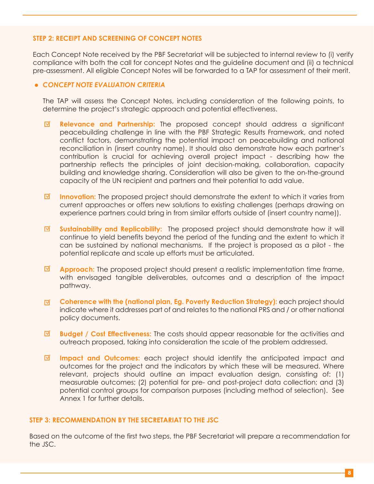#### **STEP 2: RECEIPT AND SCREENING OF CONCEPT NOTES**

Each Concept Note received by the PBF Secretariat will be subjected to internal review to (i) verify compliance with both the call for concept Notes and the guideline document and (ii) a technical pre-assessment. All eligible Concept Notes will be forwarded to a TAP for assessment of their merit.

#### *CONCEPT NOTE EVALUATION CRITERIA*

The TAP will assess the Concept Notes, including consideration of the following points, to determine the project's strategic approach and potential effectiveness.

- ☑ **Relevance and Partnership:** The proposed concept should address a significant peacebuilding challenge in line with the PBF Strategic Results Framework, and noted conflict factors, demonstrating the potential impact on peacebuilding and national reconciliation in (insert country name). It should also demonstrate how each partner's contribution is crucial for achieving overall project impact - describing how the partnership reflects the principles of joint decision-making, collaboration, capacity building and knowledge sharing. Consideration will also be given to the on-the-ground capacity of the UN recipient and partners and their potential to add value.
- $\blacksquare$ **Innovation:** The proposed project should demonstrate the extent to which it varies from current approaches or offers new solutions to existing challenges (perhaps drawing on experience partners could bring in from similar efforts outside of (insert country name)).
- ☑ **Sustainability and Replicability:** The proposed project should demonstrate how it will continue to yield benefits beyond the period of the funding and the extent to which it can be sustained by national mechanisms. If the project is proposed as a pilot - the potential replicate and scale up efforts must be articulated.
- ☑ **Approach:** The proposed project should present a realistic implementation time frame, with envisaged tangible deliverables, outcomes and a description of the impact pathway.
- ा **Coherence with the (national plan, Eg. Poverty Reduction Strategy):** each project should indicate where it addresses part of and relates to the national PRS and / or other national policy documents.
- ☑ **Budget / Cost Effectiveness:** The costs should appear reasonable for the activities and outreach proposed, taking into consideration the scale of the problem addressed.
- ाज **Impact and Outcomes:** each project should identify the anticipated impact and outcomes for the project and the indicators by which these will be measured. Where relevant, projects should outline an impact evaluation design, consisting of: (1) measurable outcomes; (2) potential for pre- and post-project data collection; and (3) potential control groups for comparison purposes (including method of selection). See Annex 1 for further details.

#### **STEP 3: RECOMMENDATION BY THE SECRETARIAT TO THE JSC**

Based on the outcome of the first two steps, the PBF Secretariat will prepare a recommendation for the JSC.

**8**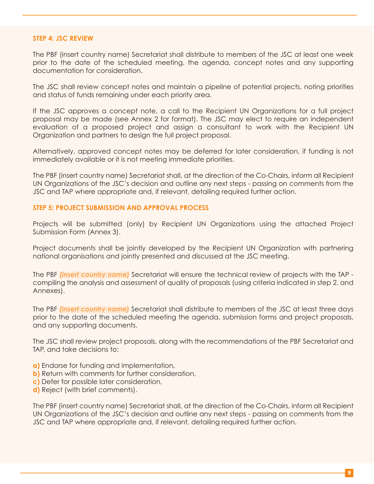#### **STEP 4: JSC REVIEW**

The PBF (insert country name) Secretariat shall distribute to members of the JSC at least one week prior to the date of the scheduled meeting, the agenda, concept notes and any supporting documentation for consideration.

The JSC shall review concept notes and maintain a pipeline of potential projects, noting priorities and status of funds remaining under each priority area.

If the JSC approves a concept note, a call to the Recipient UN Organizations for a full project proposal may be made (see Annex 2 for format). The JSC may elect to require an independent evaluation of a proposed project and assign a consultant to work with the Recipient UN Organization and partners to design the full project proposal.

Alternatively, approved concept notes may be deferred for later consideration, if funding is not immediately available or it is not meeting immediate priorities.

The PBF (insert country name) Secretariat shall, at the direction of the Co-Chairs, inform all Recipient UN Organizations of the JSC's decision and outline any next steps - passing on comments from the JSC and TAP where appropriate and, if relevant, detailing required further action.

#### **STEP 5: PROJECT SUBMISSION AND APPROVAL PROCESS**

Projects will be submitted (only) by Recipient UN Organizations using the attached Project Submission Form (Annex 3).

Project documents shall be jointly developed by the Recipient UN Organization with partnering national organisations and jointly presented and discussed at the JSC meeting.

The PBF *(insert country name)* Secretariat will ensure the technical review of projects with the TAP compiling the analysis and assessment of quality of proposals (using criteria indicated in step 2. and Annexes).

The PBF *(insert country name)* Secretariat shall distribute to members of the JSC at least three days prior to the date of the scheduled meeting the agenda, submission forms and project proposals, and any supporting documents.

The JSC shall review project proposals, along with the recommendations of the PBF Secretariat and TAP, and take decisions to:

- **a)** Endorse for funding and implementation,
- **b)** Return with comments for further consideration,
- **c)** Defer for possible later consideration,
- **d)** Reject (with brief comments).

The PBF (insert country name) Secretariat shall, at the direction of the Co-Chairs, inform all Recipient UN Organizations of the JSC's decision and outline any next steps - passing on comments from the JSC and TAP where appropriate and, if relevant, detailing required further action.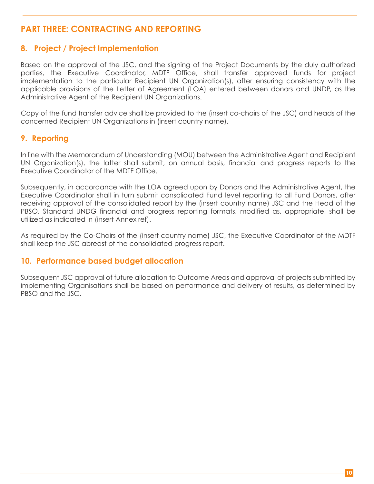#### **PART THREE: CONTRACTING AND REPORTING**

#### **8. Project / Project Implementation**

Based on the approval of the JSC, and the signing of the Project Documents by the duly authorized parties, the Executive Coordinator, MDTF Office, shall transfer approved funds for project implementation to the particular Recipient UN Organization(s), after ensuring consistency with the applicable provisions of the Letter of Agreement (LOA) entered between donors and UNDP, as the Administrative Agent of the Recipient UN Organizations.

Copy of the fund transfer advice shall be provided to the (insert co-chairs of the JSC) and heads of the concerned Recipient UN Organizations in (insert country name).

#### **9. Reporting**

In line with the Memorandum of Understanding (MOU) between the Administrative Agent and Recipient UN Organization(s), the latter shall submit, on annual basis, financial and progress reports to the Executive Coordinator of the MDTF Office.

Subsequently, in accordance with the LOA agreed upon by Donors and the Administrative Agent, the Executive Coordinator shall in turn submit consolidated Fund level reporting to all Fund Donors, after receiving approval of the consolidated report by the (insert country name) JSC and the Head of the PBSO. Standard UNDG financial and progress reporting formats, modified as, appropriate, shall be utilized as indicated in (insert Annex ref).

As required by the Co-Chairs of the (insert country name) JSC, the Executive Coordinator of the MDTF shall keep the JSC abreast of the consolidated progress report.

#### **10. Performance based budget allocation**

Subsequent JSC approval of future allocation to Outcome Areas and approval of projects submitted by implementing Organisations shall be based on performance and delivery of results, as determined by PBSO and the JSC.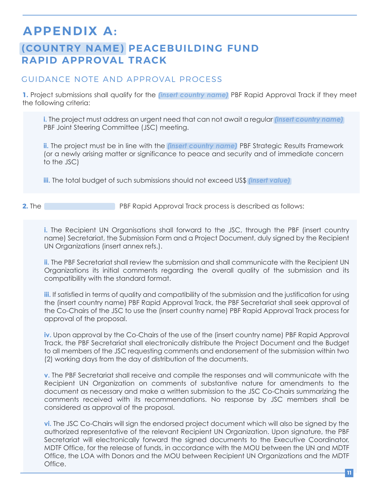## **APPENDIX A:**

### **(COUNTRY NAME) PEACEBUILDING FUND RAPID APPROVAL TRACK**

#### GUIDANCE NOTE AND APPROVAL PROCESS

**1.** Project submissions shall qualify for the *(insert country name)* PBF Rapid Approval Track if they meet the following criteria:

**i.** The project must address an urgent need that can not await a regular *(insert country name)*  PBF Joint Steering Committee (JSC) meeting.

**ii.** The project must be in line with the *(insert country name)* PBF Strategic Results Framework (or a newly arising matter or significance to peace and security and of immediate concern to the JSC)

**iii.** The total budget of such submissions should not exceed US\$ *(insert value)*

**2.** The **PBF Rapid Approval Track process is described as follows:** 

**i.** The Recipient UN Organisations shall forward to the JSC, through the PBF (insert country name) Secretariat, the Submission Form and a Project Document, duly signed by the Recipient UN Organizations (insert annex refs.).

**ii.** The PBF Secretariat shall review the submission and shall communicate with the Recipient UN Organizations its initial comments regarding the overall quality of the submission and its compatibility with the standard format.

**iii.** If satisfied in terms of quality and compatibility of the submission and the justification for using the (insert country name) PBF Rapid Approval Track, the PBF Secretariat shall seek approval of the Co-Chairs of the JSC to use the (insert country name) PBF Rapid Approval Track process for approval of the proposal.

**iv.** Upon approval by the Co-Chairs of the use of the (insert country name) PBF Rapid Approval Track, the PBF Secretariat shall electronically distribute the Project Document and the Budget to all members of the JSC requesting comments and endorsement of the submission within two (2) working days from the day of distribution of the documents.

**v.** The PBF Secretariat shall receive and compile the responses and will communicate with the Recipient UN Organization on comments of substantive nature for amendments to the document as necessary and make a written submission to the JSC Co-Chairs summarizing the comments received with its recommendations. No response by JSC members shall be considered as approval of the proposal.

**vi.** The JSC Co-Chairs will sign the endorsed project document which will also be signed by the authorized representative of the relevant Recipient UN Organization. Upon signature, the PBF Secretariat will electronically forward the signed documents to the Executive Coordinator, MDTF Office, for the release of funds, in accordance with the MOU between the UN and MDTF Office, the LOA with Donors and the MOU between Recipient UN Organizations and the MDTF Office.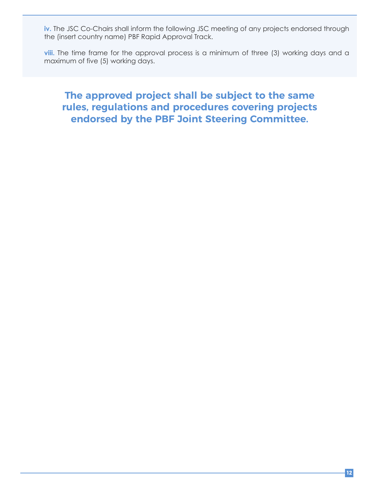iv. The JSC Co-Chairs shall inform the following JSC meeting of any projects endorsed through the (insert country name) PBF Rapid Approval Track.

**viii.** The time frame for the approval process is a minimum of three (3) working days and a maximum of five (5) working days.

### **The approved project shall be subject to the same rules, regulations and procedures covering projects endorsed by the PBF Joint Steering Committee.**